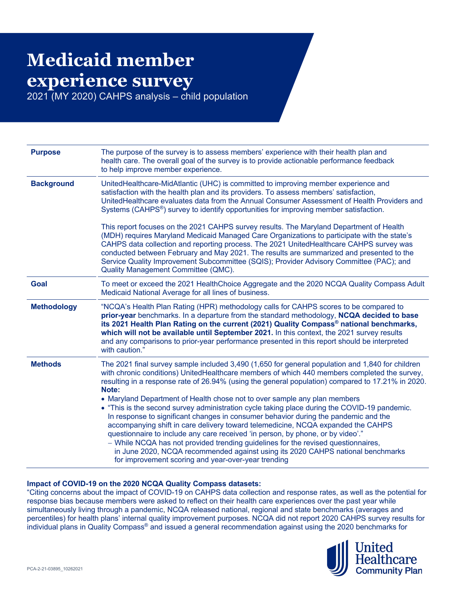## **Medicaid member experience survey**

2021 (MY 2020) CAHPS analysis – child population

| <b>Purpose</b>     | The purpose of the survey is to assess members' experience with their health plan and<br>health care. The overall goal of the survey is to provide actionable performance feedback<br>to help improve member experience.                                                                                                                                                                                                                                                                                                                                                                                                                                                                                                                                                                                                                                                                                                                                                                 |
|--------------------|------------------------------------------------------------------------------------------------------------------------------------------------------------------------------------------------------------------------------------------------------------------------------------------------------------------------------------------------------------------------------------------------------------------------------------------------------------------------------------------------------------------------------------------------------------------------------------------------------------------------------------------------------------------------------------------------------------------------------------------------------------------------------------------------------------------------------------------------------------------------------------------------------------------------------------------------------------------------------------------|
| <b>Background</b>  | UnitedHealthcare-MidAtlantic (UHC) is committed to improving member experience and<br>satisfaction with the health plan and its providers. To assess members' satisfaction,<br>UnitedHealthcare evaluates data from the Annual Consumer Assessment of Health Providers and<br>Systems (CAHPS <sup>®</sup> ) survey to identify opportunities for improving member satisfaction.                                                                                                                                                                                                                                                                                                                                                                                                                                                                                                                                                                                                          |
|                    | This report focuses on the 2021 CAHPS survey results. The Maryland Department of Health<br>(MDH) requires Maryland Medicaid Managed Care Organizations to participate with the state's<br>CAHPS data collection and reporting process. The 2021 UnitedHealthcare CAHPS survey was<br>conducted between February and May 2021. The results are summarized and presented to the<br>Service Quality Improvement Subcommittee (SQIS); Provider Advisory Committee (PAC); and<br>Quality Management Committee (QMC).                                                                                                                                                                                                                                                                                                                                                                                                                                                                          |
| <b>Goal</b>        | To meet or exceed the 2021 HealthChoice Aggregate and the 2020 NCQA Quality Compass Adult<br>Medicaid National Average for all lines of business.                                                                                                                                                                                                                                                                                                                                                                                                                                                                                                                                                                                                                                                                                                                                                                                                                                        |
| <b>Methodology</b> | "NCQA's Health Plan Rating (HPR) methodology calls for CAHPS scores to be compared to<br>prior-year benchmarks. In a departure from the standard methodology, NCQA decided to base<br>its 2021 Health Plan Rating on the current (2021) Quality Compass <sup>®</sup> national benchmarks,<br>which will not be available until September 2021. In this context, the 2021 survey results<br>and any comparisons to prior-year performance presented in this report should be interpreted<br>with caution."                                                                                                                                                                                                                                                                                                                                                                                                                                                                                |
| <b>Methods</b>     | The 2021 final survey sample included 3,490 (1,650 for general population and 1,840 for children<br>with chronic conditions) UnitedHealthcare members of which 440 members completed the survey,<br>resulting in a response rate of 26.94% (using the general population) compared to 17.21% in 2020.<br>Note:<br>• Maryland Department of Health chose not to over sample any plan members<br>• "This is the second survey administration cycle taking place during the COVID-19 pandemic.<br>In response to significant changes in consumer behavior during the pandemic and the<br>accompanying shift in care delivery toward telemedicine, NCQA expanded the CAHPS<br>questionnaire to include any care received 'in person, by phone, or by video'."<br>- While NCQA has not provided trending guidelines for the revised questionnaires,<br>in June 2020, NCQA recommended against using its 2020 CAHPS national benchmarks<br>for improvement scoring and year-over-year trending |

## **Impact of COVID-19 on the 2020 NCQA Quality Compass datasets:**

"Citing concerns about the impact of COVID-19 on CAHPS data collection and response rates, as well as the potential for response bias because members were asked to reflect on their health care experiences over the past year while simultaneously living through a pandemic, NCQA released national, regional and state benchmarks (averages and percentiles) for health plans' internal quality improvement purposes. NCQA did not report 2020 CAHPS survey results for individual plans in Quality Compass® and issued a general recommendation against using the 2020 benchmarks for

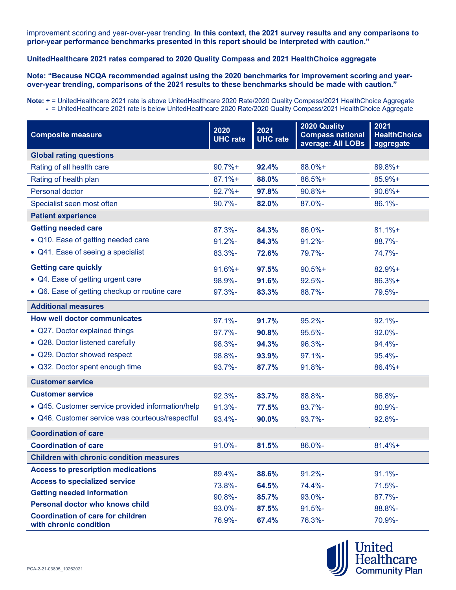improvement scoring and year-over-year trending. **In this context, the 2021 survey results and any comparisons to prior-year performance benchmarks presented in this report should be interpreted with caution."**

## **UnitedHealthcare 2021 rates compared to 2020 Quality Compass and 2021 HealthChoice aggregate**

**Note: "Because NCQA recommended against using the 2020 benchmarks for improvement scoring and yearover-year trending, comparisons of the 2021 results to these benchmarks should be made with caution."**

**Note: +** = UnitedHealthcare 2021 rate is above UnitedHealthcare 2020 Rate/2020 Quality Compass/2021 HealthChoice Aggregate **-** = UnitedHealthcare 2021 rate is below UnitedHealthcare 2020 Rate/2020 Quality Compass/2021 HealthChoice Aggregate

| <b>Composite measure</b>                                           | 2020<br><b>UHC</b> rate | 2021<br><b>UHC</b> rate | 2020 Quality<br><b>Compass national</b><br>average: All LOBs | 2021<br><b>HealthChoice</b><br>aggregate |  |
|--------------------------------------------------------------------|-------------------------|-------------------------|--------------------------------------------------------------|------------------------------------------|--|
| <b>Global rating questions</b>                                     |                         |                         |                                                              |                                          |  |
| Rating of all health care                                          | $90.7%+$                | 92.4%                   | 88.0%+                                                       | 89.8%+                                   |  |
| Rating of health plan                                              | $87.1%$ +               | 88.0%                   | 86.5%+                                                       | 85.9%+                                   |  |
| Personal doctor                                                    | $92.7%+$                | 97.8%                   | $90.8%+$                                                     | $90.6%+$                                 |  |
| Specialist seen most often                                         | $90.7% -$               | 82.0%                   | 87.0%-                                                       | 86.1%-                                   |  |
| <b>Patient experience</b>                                          |                         |                         |                                                              |                                          |  |
| <b>Getting needed care</b>                                         | $87.3% -$               | 84.3%                   | 86.0%-                                                       | $81.1% +$                                |  |
| • Q10. Ease of getting needed care                                 | $91.2% -$               | 84.3%                   | $91.2% -$                                                    | 88.7%-                                   |  |
| • Q41. Ease of seeing a specialist                                 | 83.3%-                  | 72.6%                   | 79.7%-                                                       | 74.7%-                                   |  |
| <b>Getting care quickly</b>                                        | $91.6%+$                | 97.5%                   | $90.5%$ +                                                    | 82.9%+                                   |  |
| • Q4. Ease of getting urgent care                                  | 98.9%-                  | 91.6%                   | $92.5% -$                                                    | $86.3%+$                                 |  |
| • Q6. Ease of getting checkup or routine care                      | $97.3% -$               | 83.3%                   | 88.7%-                                                       | 79.5%-                                   |  |
| <b>Additional measures</b>                                         |                         |                         |                                                              |                                          |  |
| <b>How well doctor communicates</b>                                | $97.1% -$               | 91.7%                   | $95.2% -$                                                    | $92.1% -$                                |  |
| • Q27. Doctor explained things                                     | $97.7% -$               | 90.8%                   | $95.5% -$                                                    | $92.0\%$ -                               |  |
| • Q28. Doctor listened carefully                                   | 98.3%-                  | 94.3%                   | 96.3%-                                                       | $94.4% -$                                |  |
| • Q29. Doctor showed respect                                       | 98.8%-                  | 93.9%                   | $97.1% -$                                                    | $95.4% -$                                |  |
| • Q32. Doctor spent enough time                                    | 93.7%-                  | 87.7%                   | $91.8% -$                                                    | 86.4%+                                   |  |
| <b>Customer service</b>                                            |                         |                         |                                                              |                                          |  |
| <b>Customer service</b>                                            | $92.3% -$               | 83.7%                   | 88.8%-                                                       | 86.8%-                                   |  |
| • Q45. Customer service provided information/help                  | $91.3% -$               | 77.5%                   | 83.7%-                                                       | 80.9%-                                   |  |
| • Q46. Customer service was courteous/respectful                   | $93.4% -$               | 90.0%                   | $93.7% -$                                                    | 92.8%-                                   |  |
| <b>Coordination of care</b>                                        |                         |                         |                                                              |                                          |  |
| <b>Coordination of care</b>                                        | $91.0\%$ -              | 81.5%                   | 86.0%-                                                       | $81.4%+$                                 |  |
| <b>Children with chronic condition measures</b>                    |                         |                         |                                                              |                                          |  |
| <b>Access to prescription medications</b>                          | 89.4%-                  | 88.6%                   | $91.2% -$                                                    | $91.1% -$                                |  |
| <b>Access to specialized service</b>                               | 73.8%-                  | 64.5%                   | 74.4%-                                                       | $71.5% -$                                |  |
| <b>Getting needed information</b>                                  | 90.8%-                  | 85.7%                   | $93.0\%$ -                                                   | $87.7% -$                                |  |
| <b>Personal doctor who knows child</b>                             | 93.0%-                  | 87.5%                   | $91.5% -$                                                    | 88.8%-                                   |  |
| <b>Coordination of care for children</b><br>with chronic condition | 76.9%-                  | 67.4%                   | 76.3%-                                                       | 70.9%-                                   |  |